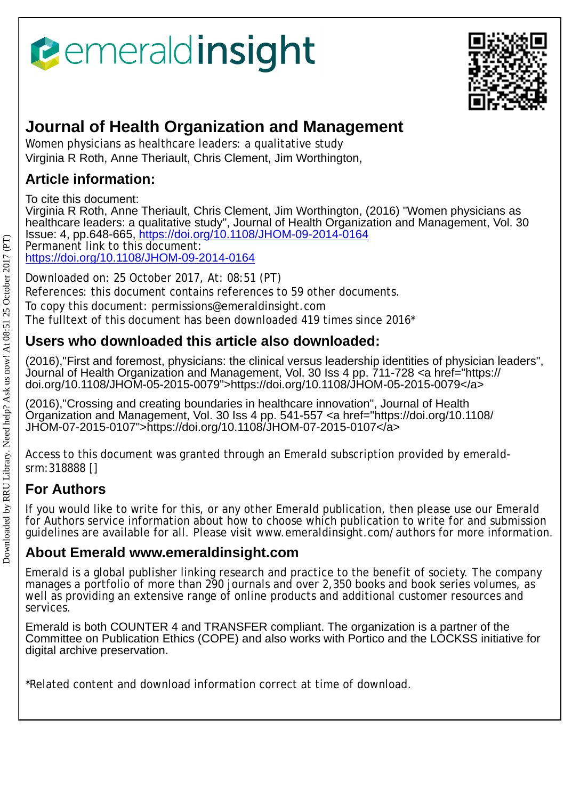# *<u><b>emeraldinsight</u>*



## **Journal of Health Organization and Management**

Women physicians as healthcare leaders: a qualitative study Virginia R Roth, Anne Theriault, Chris Clement, Jim Worthington,

## **Article information:**

To cite this document:

Virginia R Roth, Anne Theriault, Chris Clement, Jim Worthington, (2016) "Women physicians as healthcare leaders: a qualitative study", Journal of Health Organization and Management, Vol. 30 Issue: 4, pp.648-665,<https://doi.org/10.1108/JHOM-09-2014-0164>

Permanent link to this document: <https://doi.org/10.1108/JHOM-09-2014-0164>

Downloaded on: 25 October 2017, At: 08:51 (PT) References: this document contains references to 59 other documents.

To copy this document: permissions@emeraldinsight.com

The fulltext of this document has been downloaded 419 times since 2016\*

## **Users who downloaded this article also downloaded:**

(2016),"First and foremost, physicians: the clinical versus leadership identities of physician leaders", Journal of Health Organization and Management, Vol. 30 Iss 4 pp. 711-728 <a href="https:// doi.org/10.1108/JHOM-05-2015-0079">https://doi.org/10.1108/JHOM-05-2015-0079</a>

(2016),"Crossing and creating boundaries in healthcare innovation", Journal of Health Organization and Management, Vol. 30 Iss 4 pp. 541-557 <a href="https://doi.org/10.1108/ JHOM-07-2015-0107">https://doi.org/10.1108/JHOM-07-2015-0107</a>

Access to this document was granted through an Emerald subscription provided by emeraldsrm:318888 []

## **For Authors**

If you would like to write for this, or any other Emerald publication, then please use our Emerald for Authors service information about how to choose which publication to write for and submission guidelines are available for all. Please visit www.emeraldinsight.com/authors for more information.

### **About Emerald www.emeraldinsight.com**

Emerald is a global publisher linking research and practice to the benefit of society. The company manages a portfolio of more than 290 journals and over 2,350 books and book series volumes, as well as providing an extensive range of online products and additional customer resources and services.

Emerald is both COUNTER 4 and TRANSFER compliant. The organization is a partner of the Committee on Publication Ethics (COPE) and also works with Portico and the LOCKSS initiative for digital archive preservation.

\*Related content and download information correct at time of download.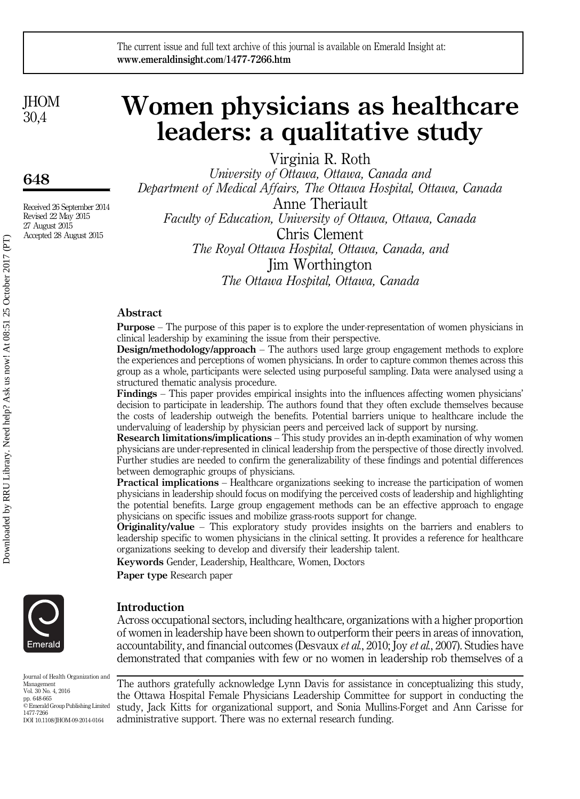**IHOM** 30,4

648

Received 26 September 2014 Revised 22 May 2015 27 August 2015 Accepted 28 August 2015

## Women physicians as healthcare leaders: a qualitative study

Virginia R. Roth

University of Ottawa, Ottawa, Canada and Department of Medical Affairs, The Ottawa Hospital, Ottawa, Canada Anne Theriault Faculty of Education, University of Ottawa, Ottawa, Canada Chris Clement

The Royal Ottawa Hospital, Ottawa, Canada, and Jim Worthington The Ottawa Hospital, Ottawa, Canada

#### Abstract

Purpose – The purpose of this paper is to explore the under-representation of women physicians in clinical leadership by examining the issue from their perspective.

Design/methodology/approach – The authors used large group engagement methods to explore the experiences and perceptions of women physicians. In order to capture common themes across this group as a whole, participants were selected using purposeful sampling. Data were analysed using a structured thematic analysis procedure.

Findings – This paper provides empirical insights into the influences affecting women physicians' decision to participate in leadership. The authors found that they often exclude themselves because the costs of leadership outweigh the benefits. Potential barriers unique to healthcare include the undervaluing of leadership by physician peers and perceived lack of support by nursing.

Research limitations/implications – This study provides an in-depth examination of why women physicians are under-represented in clinical leadership from the perspective of those directly involved. Further studies are needed to confirm the generalizability of these findings and potential differences between demographic groups of physicians.

Practical implications – Healthcare organizations seeking to increase the participation of women physicians in leadership should focus on modifying the perceived costs of leadership and highlighting the potential benefits. Large group engagement methods can be an effective approach to engage physicians on specific issues and mobilize grass-roots support for change.

Originality/value – This exploratory study provides insights on the barriers and enablers to leadership specific to women physicians in the clinical setting. It provides a reference for healthcare organizations seeking to develop and diversify their leadership talent.

Keywords Gender, Leadership, Healthcare, Women, Doctors

Paper type Research paper



Introduction

Across occupational sectors, including healthcare, organizations with a higher proportion of women in leadership have been shown to outperform their peers in areas of innovation, accountability, and financial outcomes (Desvaux et al., 2010; Joy et al., 2007). Studies have demonstrated that companies with few or no women in leadership rob themselves of a

Journal of Health Organization and Management Vol. 30 No. 4, 2016 pp. 648-665 © Emerald Group Publishing Limited 1477-7266 DOI 10.1108/JHOM-09-2014-0164

The authors gratefully acknowledge Lynn Davis for assistance in conceptualizing this study, the Ottawa Hospital Female Physicians Leadership Committee for support in conducting the study, Jack Kitts for organizational support, and Sonia Mullins-Forget and Ann Carisse for administrative support. There was no external research funding.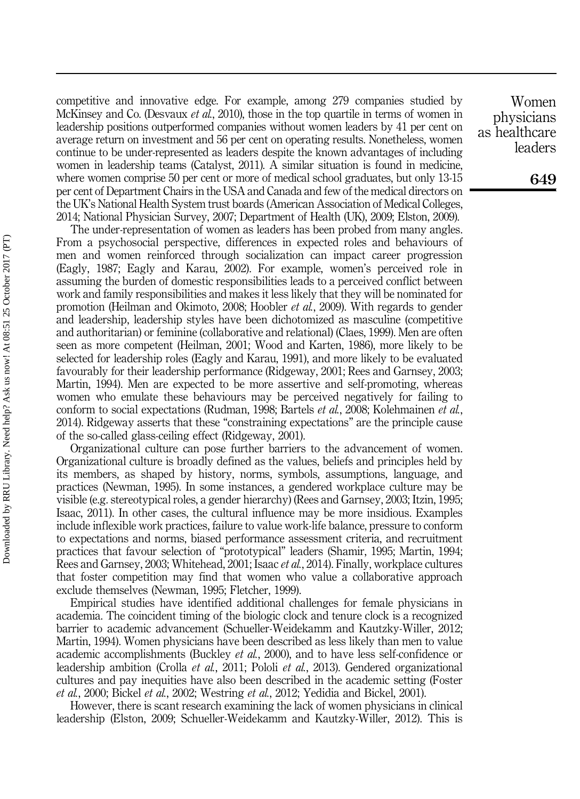competitive and innovative edge. For example, among 279 companies studied by McKinsey and Co. (Desvaux *et al.*, 2010), those in the top quartile in terms of women in leadership positions outperformed companies without women leaders by 41 per cent on average return on investment and 56 per cent on operating results. Nonetheless, women continue to be under-represented as leaders despite the known advantages of including women in leadership teams (Catalyst, 2011). A similar situation is found in medicine, where women comprise 50 per cent or more of medical school graduates, but only 13-15 per cent of Department Chairs in the USA and Canada and few of the medical directors on the UK's National Health System trust boards (American Association of Medical Colleges, 2014; National Physician Survey, 2007; Department of Health (UK), 2009; Elston, 2009).

The under-representation of women as leaders has been probed from many angles. From a psychosocial perspective, differences in expected roles and behaviours of men and women reinforced through socialization can impact career progression (Eagly, 1987; Eagly and Karau, 2002). For example, women's perceived role in assuming the burden of domestic responsibilities leads to a perceived conflict between work and family responsibilities and makes it less likely that they will be nominated for promotion (Heilman and Okimoto, 2008; Hoobler et al., 2009). With regards to gender and leadership, leadership styles have been dichotomized as masculine (competitive and authoritarian) or feminine (collaborative and relational) (Claes, 1999). Men are often seen as more competent (Heilman, 2001; Wood and Karten, 1986), more likely to be selected for leadership roles (Eagly and Karau, 1991), and more likely to be evaluated favourably for their leadership performance (Ridgeway, 2001; Rees and Garnsey, 2003; Martin, 1994). Men are expected to be more assertive and self-promoting, whereas women who emulate these behaviours may be perceived negatively for failing to conform to social expectations (Rudman, 1998; Bartels et al., 2008; Kolehmainen et al., 2014). Ridgeway asserts that these "constraining expectations" are the principle cause of the so-called glass-ceiling effect (Ridgeway, 2001).

Organizational culture can pose further barriers to the advancement of women. Organizational culture is broadly defined as the values, beliefs and principles held by its members, as shaped by history, norms, symbols, assumptions, language, and practices (Newman, 1995). In some instances, a gendered workplace culture may be visible (e.g. stereotypical roles, a gender hierarchy) (Rees and Garnsey, 2003; Itzin, 1995; Isaac, 2011). In other cases, the cultural influence may be more insidious. Examples include inflexible work practices, failure to value work-life balance, pressure to conform to expectations and norms, biased performance assessment criteria, and recruitment practices that favour selection of "prototypical" leaders (Shamir, 1995; Martin, 1994; Rees and Garnsey, 2003; Whitehead, 2001; Isaac *et al.*, 2014). Finally, workplace cultures that foster competition may find that women who value a collaborative approach exclude themselves (Newman, 1995; Fletcher, 1999).

Empirical studies have identified additional challenges for female physicians in academia. The coincident timing of the biologic clock and tenure clock is a recognized barrier to academic advancement (Schueller-Weidekamm and Kautzky-Willer, 2012; Martin, 1994). Women physicians have been described as less likely than men to value academic accomplishments (Buckley et al., 2000), and to have less self-confidence or leadership ambition (Crolla *et al.*, 2011; Pololi *et al.*, 2013). Gendered organizational cultures and pay inequities have also been described in the academic setting (Foster et al., 2000; Bickel et al., 2002; Westring et al., 2012; Yedidia and Bickel, 2001).

However, there is scant research examining the lack of women physicians in clinical leadership (Elston, 2009; Schueller-Weidekamm and Kautzky-Willer, 2012). This is

Women physicians as healthcare leaders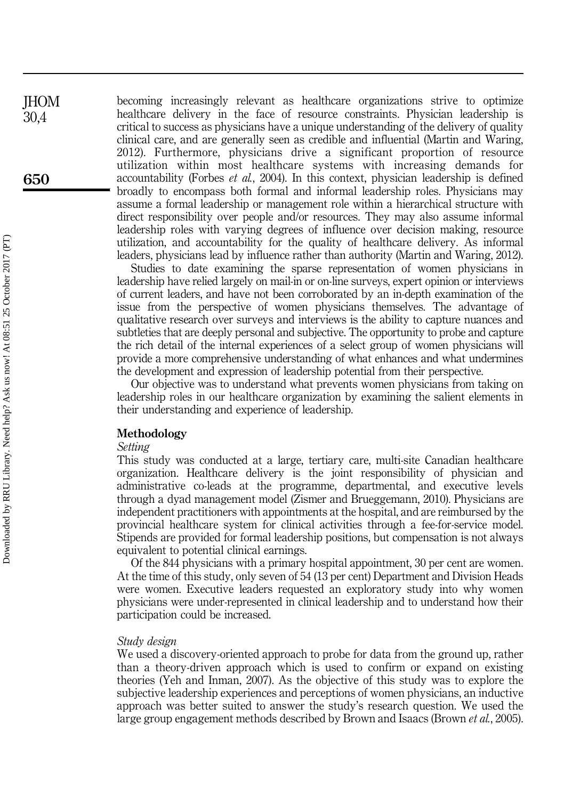becoming increasingly relevant as healthcare organizations strive to optimize healthcare delivery in the face of resource constraints. Physician leadership is critical to success as physicians have a unique understanding of the delivery of quality clinical care, and are generally seen as credible and influential (Martin and Waring, 2012). Furthermore, physicians drive a significant proportion of resource utilization within most healthcare systems with increasing demands for accountability (Forbes et al., 2004). In this context, physician leadership is defined broadly to encompass both formal and informal leadership roles. Physicians may assume a formal leadership or management role within a hierarchical structure with direct responsibility over people and/or resources. They may also assume informal leadership roles with varying degrees of influence over decision making, resource utilization, and accountability for the quality of healthcare delivery. As informal leaders, physicians lead by influence rather than authority (Martin and Waring, 2012).

Studies to date examining the sparse representation of women physicians in leadership have relied largely on mail-in or on-line surveys, expert opinion or interviews of current leaders, and have not been corroborated by an in-depth examination of the issue from the perspective of women physicians themselves. The advantage of qualitative research over surveys and interviews is the ability to capture nuances and subtleties that are deeply personal and subjective. The opportunity to probe and capture the rich detail of the internal experiences of a select group of women physicians will provide a more comprehensive understanding of what enhances and what undermines the development and expression of leadership potential from their perspective.

Our objective was to understand what prevents women physicians from taking on leadership roles in our healthcare organization by examining the salient elements in their understanding and experience of leadership.

#### Methodology

#### Setting

This study was conducted at a large, tertiary care, multi-site Canadian healthcare organization. Healthcare delivery is the joint responsibility of physician and administrative co-leads at the programme, departmental, and executive levels through a dyad management model (Zismer and Brueggemann, 2010). Physicians are independent practitioners with appointments at the hospital, and are reimbursed by the provincial healthcare system for clinical activities through a fee-for-service model. Stipends are provided for formal leadership positions, but compensation is not always equivalent to potential clinical earnings.

Of the 844 physicians with a primary hospital appointment, 30 per cent are women. At the time of this study, only seven of 54 (13 per cent) Department and Division Heads were women. Executive leaders requested an exploratory study into why women physicians were under-represented in clinical leadership and to understand how their participation could be increased.

#### Study design

We used a discovery-oriented approach to probe for data from the ground up, rather than a theory-driven approach which is used to confirm or expand on existing theories (Yeh and Inman, 2007). As the objective of this study was to explore the subjective leadership experiences and perceptions of women physicians, an inductive approach was better suited to answer the study's research question. We used the large group engagement methods described by Brown and Isaacs (Brown et al., 2005).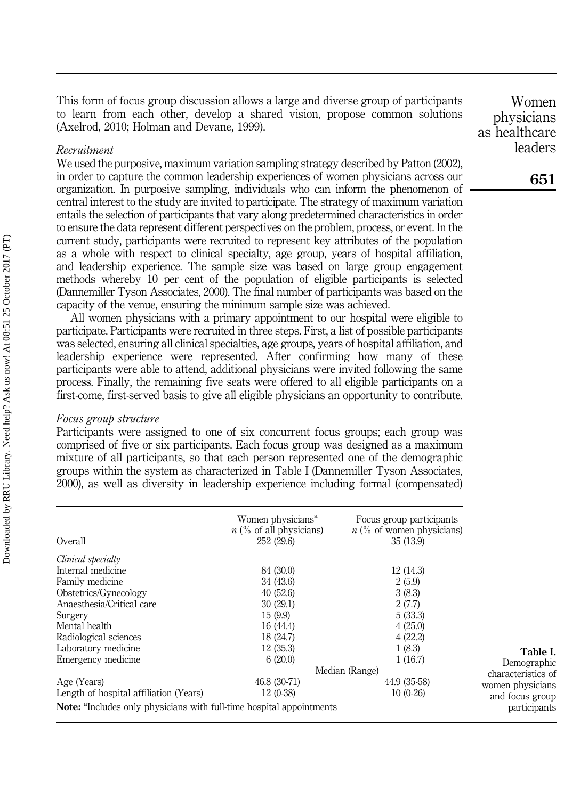This form of focus group discussion allows a large and diverse group of participants to learn from each other, develop a shared vision, propose common solutions (Axelrod, 2010; Holman and Devane, 1999).

#### Recruitment

We used the purposive, maximum variation sampling strategy described by Patton (2002), in order to capture the common leadership experiences of women physicians across our organization. In purposive sampling, individuals who can inform the phenomenon of central interest to the study are invited to participate. The strategy of maximum variation entails the selection of participants that vary along predetermined characteristics in order to ensure the data represent different perspectives on the problem, process, or event. In the current study, participants were recruited to represent key attributes of the population as a whole with respect to clinical specialty, age group, years of hospital affiliation, and leadership experience. The sample size was based on large group engagement methods whereby 10 per cent of the population of eligible participants is selected (Dannemiller Tyson Associates, 2000). The final number of participants was based on the capacity of the venue, ensuring the minimum sample size was achieved.

All women physicians with a primary appointment to our hospital were eligible to participate. Participants were recruited in three steps. First, a list of possible participants was selected, ensuring all clinical specialties, age groups, years of hospital affiliation, and leadership experience were represented. After confirming how many of these participants were able to attend, additional physicians were invited following the same process. Finally, the remaining five seats were offered to all eligible participants on a first-come, first-served basis to give all eligible physicians an opportunity to contribute.

#### Focus group structure

Participants were assigned to one of six concurrent focus groups; each group was comprised of five or six participants. Each focus group was designed as a maximum mixture of all participants, so that each person represented one of the demographic groups within the system as characterized in Table I (Dannemiller Tyson Associates, 2000), as well as diversity in leadership experience including formal (compensated)

| Overall                                                                                 | Women physicians <sup>a</sup><br>$n$ (% of all physicians)<br>252 (29.6) | Focus group participants<br>$n$ (% of women physicians)<br>35(13.9) |                  |
|-----------------------------------------------------------------------------------------|--------------------------------------------------------------------------|---------------------------------------------------------------------|------------------|
| Clinical specialty                                                                      |                                                                          |                                                                     |                  |
| Internal medicine                                                                       | 84 (30.0)                                                                | 12(14.3)                                                            |                  |
| Family medicine                                                                         | 34 (43.6)                                                                | 2(5.9)                                                              |                  |
| Obstetrics/Gynecology                                                                   | 40(52.6)                                                                 | 3(8.3)                                                              |                  |
| Anaesthesia/Critical care                                                               | 30(29.1)                                                                 | 2(7.7)                                                              |                  |
| Surgery                                                                                 | 15(9.9)                                                                  | 5(33.3)                                                             |                  |
| Mental health                                                                           | 16 (44.4)                                                                | 4(25.0)                                                             |                  |
| Radiological sciences                                                                   | 18 (24.7)                                                                | 4(22.2)                                                             |                  |
| Laboratory medicine                                                                     | 12(35.3)                                                                 | 1(8.3)                                                              | Table I.         |
| Emergency medicine                                                                      | 6(20.0)                                                                  | 1(16.7)                                                             | Demographic      |
|                                                                                         | Median (Range)                                                           | characteristics of                                                  |                  |
| Age (Years)                                                                             | 46.8 (30-71)                                                             | 44.9 (35-58)                                                        | women physicians |
| Length of hospital affiliation (Years)                                                  | $12(0-38)$                                                               | $10(0-26)$                                                          | and focus group  |
| <b>Note:</b> <sup>a</sup> Includes only physicians with full-time hospital appointments |                                                                          |                                                                     | participants     |

Women physicians as healthcare leaders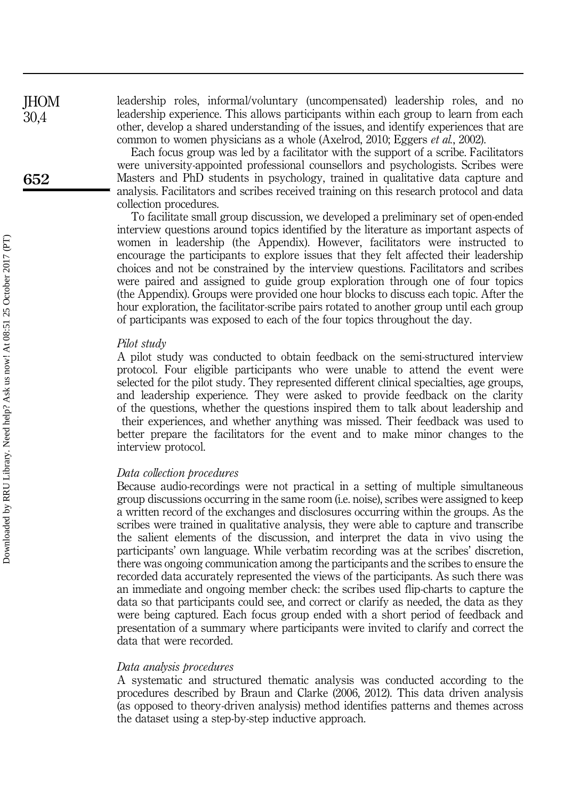leadership roles, informal/voluntary (uncompensated) leadership roles, and no leadership experience. This allows participants within each group to learn from each other, develop a shared understanding of the issues, and identify experiences that are common to women physicians as a whole (Axelrod, 2010; Eggers et al., 2002).

Each focus group was led by a facilitator with the support of a scribe. Facilitators were university-appointed professional counsellors and psychologists. Scribes were Masters and PhD students in psychology, trained in qualitative data capture and analysis. Facilitators and scribes received training on this research protocol and data collection procedures.

To facilitate small group discussion, we developed a preliminary set of open-ended interview questions around topics identified by the literature as important aspects of women in leadership (the Appendix). However, facilitators were instructed to encourage the participants to explore issues that they felt affected their leadership choices and not be constrained by the interview questions. Facilitators and scribes were paired and assigned to guide group exploration through one of four topics (the Appendix). Groups were provided one hour blocks to discuss each topic. After the hour exploration, the facilitator-scribe pairs rotated to another group until each group of participants was exposed to each of the four topics throughout the day.

#### Pilot study

A pilot study was conducted to obtain feedback on the semi-structured interview protocol. Four eligible participants who were unable to attend the event were selected for the pilot study. They represented different clinical specialties, age groups, and leadership experience. They were asked to provide feedback on the clarity of the questions, whether the questions inspired them to talk about leadership and their experiences, and whether anything was missed. Their feedback was used to better prepare the facilitators for the event and to make minor changes to the interview protocol.

#### Data collection procedures

Because audio-recordings were not practical in a setting of multiple simultaneous group discussions occurring in the same room (i.e. noise), scribes were assigned to keep a written record of the exchanges and disclosures occurring within the groups. As the scribes were trained in qualitative analysis, they were able to capture and transcribe the salient elements of the discussion, and interpret the data in vivo using the participants' own language. While verbatim recording was at the scribes' discretion, there was ongoing communication among the participants and the scribes to ensure the recorded data accurately represented the views of the participants. As such there was an immediate and ongoing member check: the scribes used flip-charts to capture the data so that participants could see, and correct or clarify as needed, the data as they were being captured. Each focus group ended with a short period of feedback and presentation of a summary where participants were invited to clarify and correct the data that were recorded.

#### Data analysis procedures

A systematic and structured thematic analysis was conducted according to the procedures described by Braun and Clarke (2006, 2012). This data driven analysis (as opposed to theory-driven analysis) method identifies patterns and themes across the dataset using a step-by-step inductive approach.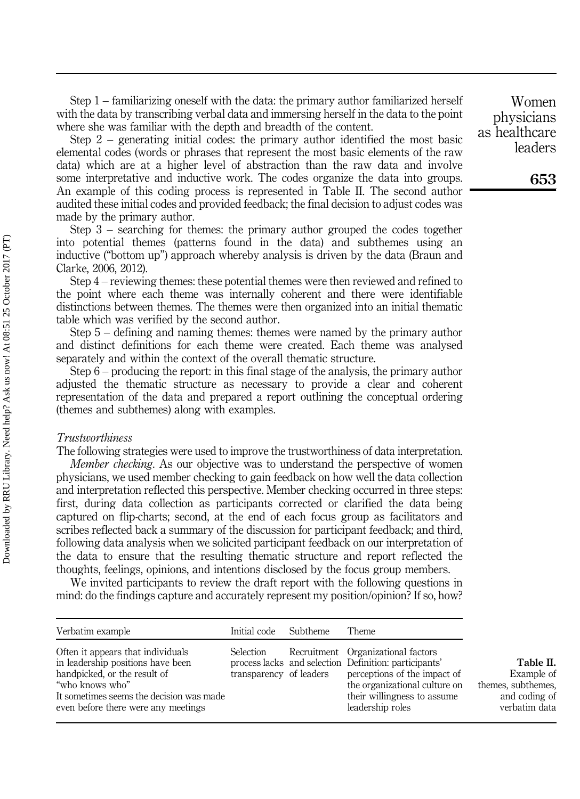Step 1 – familiarizing oneself with the data: the primary author familiarized herself with the data by transcribing verbal data and immersing herself in the data to the point where she was familiar with the depth and breadth of the content.

Step 2 – generating initial codes: the primary author identified the most basic elemental codes (words or phrases that represent the most basic elements of the raw data) which are at a higher level of abstraction than the raw data and involve some interpretative and inductive work. The codes organize the data into groups. An example of this coding process is represented in Table II. The second author audited these initial codes and provided feedback; the final decision to adjust codes was made by the primary author.

Step 3 – searching for themes: the primary author grouped the codes together into potential themes (patterns found in the data) and subthemes using an inductive ("bottom up") approach whereby analysis is driven by the data (Braun and Clarke, 2006, 2012).

Step 4 – reviewing themes: these potential themes were then reviewed and refined to the point where each theme was internally coherent and there were identifiable distinctions between themes. The themes were then organized into an initial thematic table which was verified by the second author.

Step 5 – defining and naming themes: themes were named by the primary author and distinct definitions for each theme were created. Each theme was analysed separately and within the context of the overall thematic structure.

Step 6 – producing the report: in this final stage of the analysis, the primary author adjusted the thematic structure as necessary to provide a clear and coherent representation of the data and prepared a report outlining the conceptual ordering (themes and subthemes) along with examples.

#### Trustworthiness

The following strategies were used to improve the trustworthiness of data interpretation.

Member checking. As our objective was to understand the perspective of women physicians, we used member checking to gain feedback on how well the data collection and interpretation reflected this perspective. Member checking occurred in three steps: first, during data collection as participants corrected or clarified the data being captured on flip-charts; second, at the end of each focus group as facilitators and scribes reflected back a summary of the discussion for participant feedback; and third, following data analysis when we solicited participant feedback on our interpretation of the data to ensure that the resulting thematic structure and report reflected the thoughts, feelings, opinions, and intentions disclosed by the focus group members.

We invited participants to review the draft report with the following questions in mind: do the findings capture and accurately represent my position/opinion? If so, how?

| Verbatim example                                                                                                                                                                                             | Initial code                         | Subtheme | Theme                                                                                                                                                                                                           |                                                                                 |
|--------------------------------------------------------------------------------------------------------------------------------------------------------------------------------------------------------------|--------------------------------------|----------|-----------------------------------------------------------------------------------------------------------------------------------------------------------------------------------------------------------------|---------------------------------------------------------------------------------|
| Often it appears that individuals<br>in leadership positions have been<br>handpicked, or the result of<br>"who knows who"<br>It sometimes seems the decision was made<br>even before there were any meetings | Selection<br>transparency of leaders |          | Recruitment Organizational factors<br>process lacks and selection Definition: participants'<br>perceptions of the impact of<br>the organizational culture on<br>their willingness to assume<br>leadership roles | Table II.<br>Example of<br>themes, subthemes,<br>and coding of<br>verbatim data |

Women physicians as healthcare leaders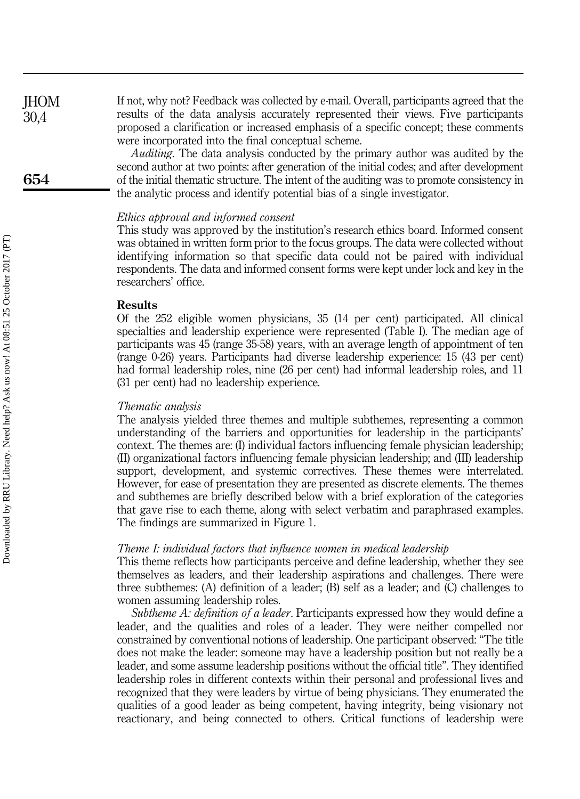If not, why not? Feedback was collected by e-mail. Overall, participants agreed that the results of the data analysis accurately represented their views. Five participants proposed a clarification or increased emphasis of a specific concept; these comments were incorporated into the final conceptual scheme. **IHOM** 30,4

> Auditing. The data analysis conducted by the primary author was audited by the second author at two points: after generation of the initial codes; and after development of the initial thematic structure. The intent of the auditing was to promote consistency in the analytic process and identify potential bias of a single investigator.

#### Ethics approval and informed consent

This study was approved by the institution's research ethics board. Informed consent was obtained in written form prior to the focus groups. The data were collected without identifying information so that specific data could not be paired with individual respondents. The data and informed consent forms were kept under lock and key in the researchers' office.

#### Results

Of the 252 eligible women physicians, 35 (14 per cent) participated. All clinical specialties and leadership experience were represented (Table I). The median age of participants was 45 (range 35-58) years, with an average length of appointment of ten (range 0-26) years. Participants had diverse leadership experience: 15 (43 per cent) had formal leadership roles, nine (26 per cent) had informal leadership roles, and 11 (31 per cent) had no leadership experience.

#### Thematic analysis

The analysis yielded three themes and multiple subthemes, representing a common understanding of the barriers and opportunities for leadership in the participants' context. The themes are: (I) individual factors influencing female physician leadership; (II) organizational factors influencing female physician leadership; and (III) leadership support, development, and systemic correctives. These themes were interrelated. However, for ease of presentation they are presented as discrete elements. The themes and subthemes are briefly described below with a brief exploration of the categories that gave rise to each theme, along with select verbatim and paraphrased examples. The findings are summarized in Figure 1.

#### Theme I: individual factors that influence women in medical leadership

This theme reflects how participants perceive and define leadership, whether they see themselves as leaders, and their leadership aspirations and challenges. There were three subthemes: (A) definition of a leader; (B) self as a leader; and (C) challenges to women assuming leadership roles.

Subtheme A: definition of a leader. Participants expressed how they would define a leader, and the qualities and roles of a leader. They were neither compelled nor constrained by conventional notions of leadership. One participant observed: "The title does not make the leader: someone may have a leadership position but not really be a leader, and some assume leadership positions without the official title". They identified leadership roles in different contexts within their personal and professional lives and recognized that they were leaders by virtue of being physicians. They enumerated the qualities of a good leader as being competent, having integrity, being visionary not reactionary, and being connected to others. Critical functions of leadership were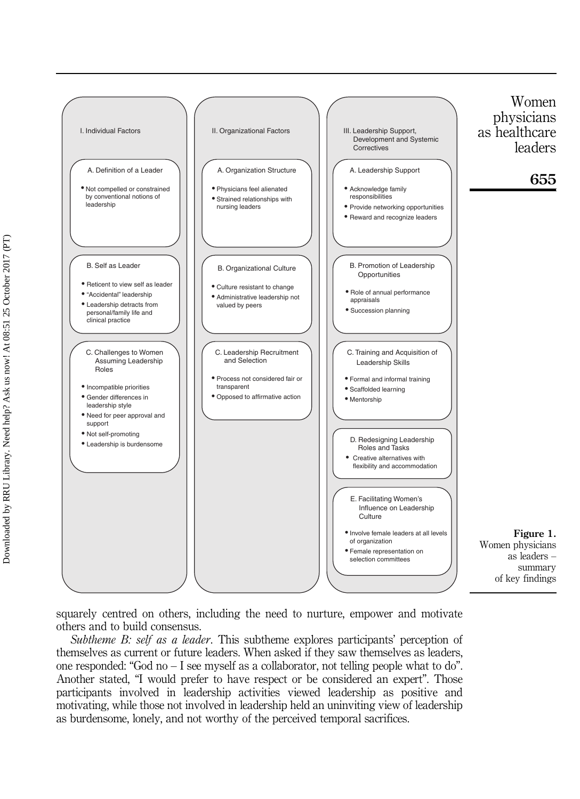

squarely centred on others, including the need to nurture, empower and motivate others and to build consensus.

Subtheme B: self as a leader. This subtheme explores participants' perception of themselves as current or future leaders. When asked if they saw themselves as leaders, one responded: "God no – I see myself as a collaborator, not telling people what to do". Another stated, "I would prefer to have respect or be considered an expert". Those participants involved in leadership activities viewed leadership as positive and motivating, while those not involved in leadership held an uninviting view of leadership as burdensome, lonely, and not worthy of the perceived temporal sacrifices.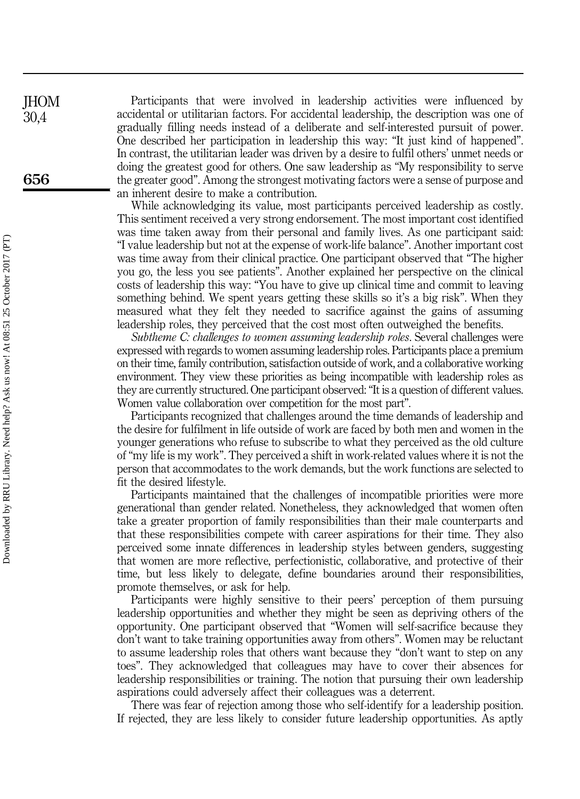Participants that were involved in leadership activities were influenced by accidental or utilitarian factors. For accidental leadership, the description was one of gradually filling needs instead of a deliberate and self-interested pursuit of power. One described her participation in leadership this way: "It just kind of happened". In contrast, the utilitarian leader was driven by a desire to fulfil others' unmet needs or doing the greatest good for others. One saw leadership as "My responsibility to serve the greater good". Among the strongest motivating factors were a sense of purpose and an inherent desire to make a contribution.

While acknowledging its value, most participants perceived leadership as costly. This sentiment received a very strong endorsement. The most important cost identified was time taken away from their personal and family lives. As one participant said: "I value leadership but not at the expense of work-life balance". Another important cost was time away from their clinical practice. One participant observed that "The higher you go, the less you see patients". Another explained her perspective on the clinical costs of leadership this way: "You have to give up clinical time and commit to leaving something behind. We spent years getting these skills so it's a big risk". When they measured what they felt they needed to sacrifice against the gains of assuming leadership roles, they perceived that the cost most often outweighed the benefits.

Subtheme C: challenges to women assuming leadership roles. Several challenges were expressed with regards to women assuming leadership roles. Participants place a premium on their time, family contribution, satisfaction outside of work, and a collaborative working environment. They view these priorities as being incompatible with leadership roles as they are currently structured. One participant observed:"It is a question of different values. Women value collaboration over competition for the most part".

Participants recognized that challenges around the time demands of leadership and the desire for fulfilment in life outside of work are faced by both men and women in the younger generations who refuse to subscribe to what they perceived as the old culture of "my life is my work". They perceived a shift in work-related values where it is not the person that accommodates to the work demands, but the work functions are selected to fit the desired lifestyle.

Participants maintained that the challenges of incompatible priorities were more generational than gender related. Nonetheless, they acknowledged that women often take a greater proportion of family responsibilities than their male counterparts and that these responsibilities compete with career aspirations for their time. They also perceived some innate differences in leadership styles between genders, suggesting that women are more reflective, perfectionistic, collaborative, and protective of their time, but less likely to delegate, define boundaries around their responsibilities, promote themselves, or ask for help.

Participants were highly sensitive to their peers' perception of them pursuing leadership opportunities and whether they might be seen as depriving others of the opportunity. One participant observed that "Women will self-sacrifice because they don't want to take training opportunities away from others". Women may be reluctant to assume leadership roles that others want because they "don't want to step on any toes". They acknowledged that colleagues may have to cover their absences for leadership responsibilities or training. The notion that pursuing their own leadership aspirations could adversely affect their colleagues was a deterrent.

There was fear of rejection among those who self-identify for a leadership position. If rejected, they are less likely to consider future leadership opportunities. As aptly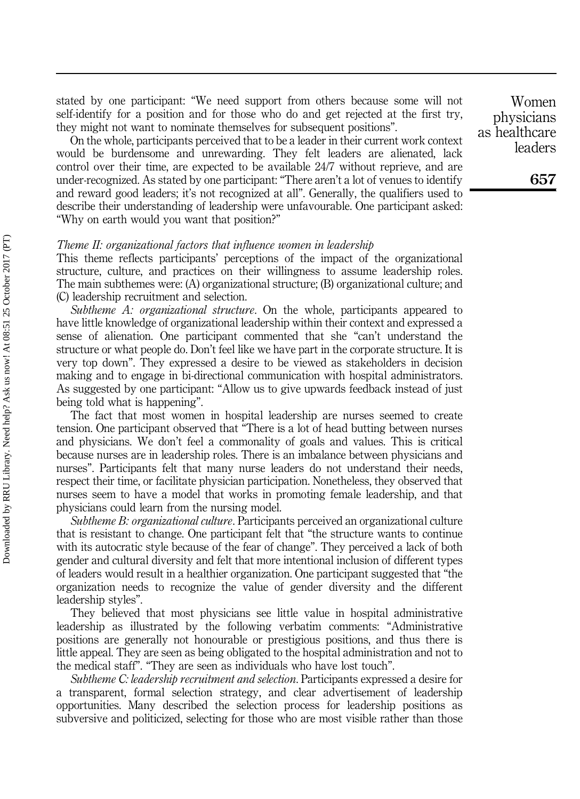stated by one participant: "We need support from others because some will not self-identify for a position and for those who do and get rejected at the first try, they might not want to nominate themselves for subsequent positions".

On the whole, participants perceived that to be a leader in their current work context would be burdensome and unrewarding. They felt leaders are alienated, lack control over their time, are expected to be available 24/7 without reprieve, and are under-recognized. As stated by one participant: "There aren't a lot of venues to identify and reward good leaders; it's not recognized at all". Generally, the qualifiers used to describe their understanding of leadership were unfavourable. One participant asked: "Why on earth would you want that position?"

#### Theme II: organizational factors that influence women in leadership

This theme reflects participants' perceptions of the impact of the organizational structure, culture, and practices on their willingness to assume leadership roles. The main subthemes were: (A) organizational structure; (B) organizational culture; and (C) leadership recruitment and selection.

Subtheme A: organizational structure. On the whole, participants appeared to have little knowledge of organizational leadership within their context and expressed a sense of alienation. One participant commented that she "can't understand the structure or what people do. Don't feel like we have part in the corporate structure. It is very top down". They expressed a desire to be viewed as stakeholders in decision making and to engage in bi-directional communication with hospital administrators. As suggested by one participant: "Allow us to give upwards feedback instead of just being told what is happening".

The fact that most women in hospital leadership are nurses seemed to create tension. One participant observed that "There is a lot of head butting between nurses and physicians. We don't feel a commonality of goals and values. This is critical because nurses are in leadership roles. There is an imbalance between physicians and nurses". Participants felt that many nurse leaders do not understand their needs, respect their time, or facilitate physician participation. Nonetheless, they observed that nurses seem to have a model that works in promoting female leadership, and that physicians could learn from the nursing model.

Subtheme B: organizational culture. Participants perceived an organizational culture that is resistant to change. One participant felt that "the structure wants to continue with its autocratic style because of the fear of change". They perceived a lack of both gender and cultural diversity and felt that more intentional inclusion of different types of leaders would result in a healthier organization. One participant suggested that "the organization needs to recognize the value of gender diversity and the different leadership styles".

They believed that most physicians see little value in hospital administrative leadership as illustrated by the following verbatim comments: "Administrative positions are generally not honourable or prestigious positions, and thus there is little appeal. They are seen as being obligated to the hospital administration and not to the medical staff". "They are seen as individuals who have lost touch".

Subtheme C: leadership recruitment and selection. Participants expressed a desire for a transparent, formal selection strategy, and clear advertisement of leadership opportunities. Many described the selection process for leadership positions as subversive and politicized, selecting for those who are most visible rather than those

Women physicians as healthcare leaders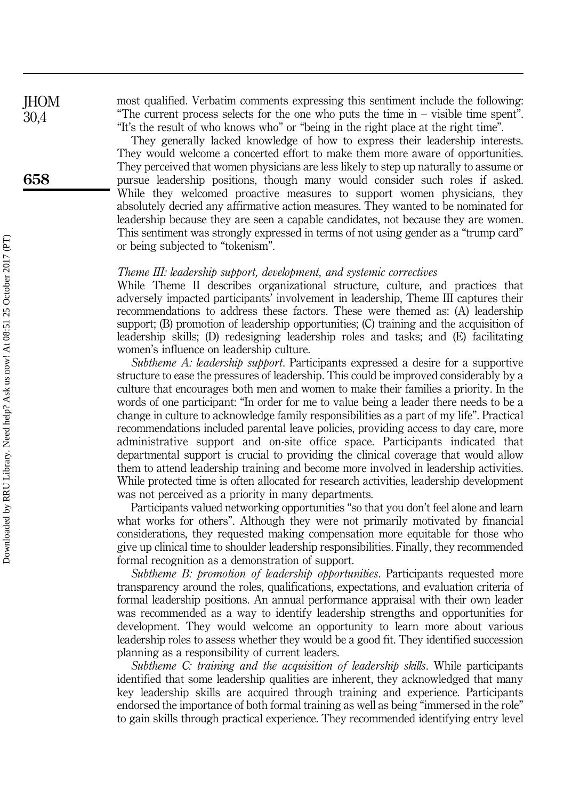most qualified. Verbatim comments expressing this sentiment include the following: "The current process selects for the one who puts the time in – visible time spent". "It's the result of who knows who" or "being in the right place at the right time".

They generally lacked knowledge of how to express their leadership interests. They would welcome a concerted effort to make them more aware of opportunities. They perceived that women physicians are less likely to step up naturally to assume or pursue leadership positions, though many would consider such roles if asked. While they welcomed proactive measures to support women physicians, they absolutely decried any affirmative action measures. They wanted to be nominated for leadership because they are seen a capable candidates, not because they are women. This sentiment was strongly expressed in terms of not using gender as a "trump card" or being subjected to "tokenism".

#### Theme III: leadership support, development, and systemic correctives

While Theme II describes organizational structure, culture, and practices that adversely impacted participants' involvement in leadership, Theme III captures their recommendations to address these factors. These were themed as: (A) leadership support; (B) promotion of leadership opportunities; (C) training and the acquisition of leadership skills; (D) redesigning leadership roles and tasks; and (E) facilitating women's influence on leadership culture.

Subtheme A: leadership support. Participants expressed a desire for a supportive structure to ease the pressures of leadership. This could be improved considerably by a culture that encourages both men and women to make their families a priority. In the words of one participant: "In order for me to value being a leader there needs to be a change in culture to acknowledge family responsibilities as a part of my life". Practical recommendations included parental leave policies, providing access to day care, more administrative support and on-site office space. Participants indicated that departmental support is crucial to providing the clinical coverage that would allow them to attend leadership training and become more involved in leadership activities. While protected time is often allocated for research activities, leadership development was not perceived as a priority in many departments.

Participants valued networking opportunities "so that you don't feel alone and learn what works for others". Although they were not primarily motivated by financial considerations, they requested making compensation more equitable for those who give up clinical time to shoulder leadership responsibilities. Finally, they recommended formal recognition as a demonstration of support.

Subtheme B: promotion of leadership opportunities. Participants requested more transparency around the roles, qualifications, expectations, and evaluation criteria of formal leadership positions. An annual performance appraisal with their own leader was recommended as a way to identify leadership strengths and opportunities for development. They would welcome an opportunity to learn more about various leadership roles to assess whether they would be a good fit. They identified succession planning as a responsibility of current leaders.

Subtheme C: training and the acquisition of leadership skills. While participants identified that some leadership qualities are inherent, they acknowledged that many key leadership skills are acquired through training and experience. Participants endorsed the importance of both formal training as well as being "immersed in the role" to gain skills through practical experience. They recommended identifying entry level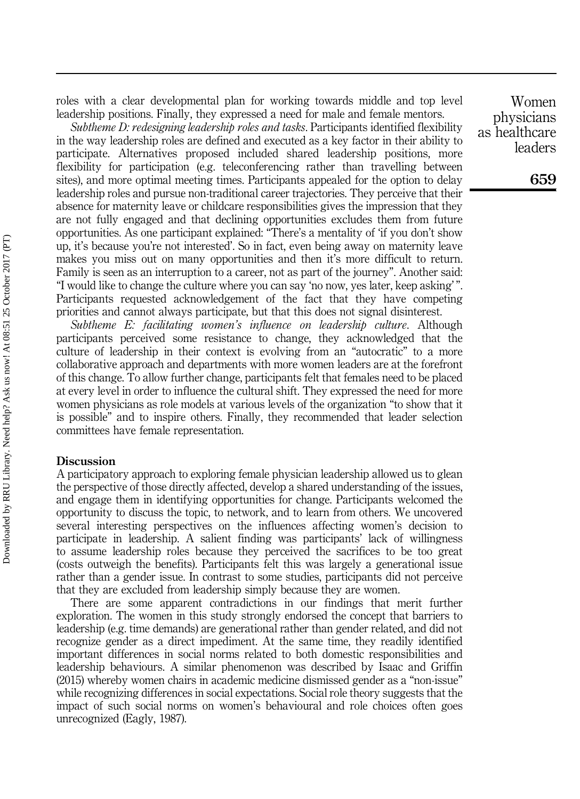roles with a clear developmental plan for working towards middle and top level leadership positions. Finally, they expressed a need for male and female mentors.

Subtheme D: redesigning leadership roles and tasks. Participants identified flexibility in the way leadership roles are defined and executed as a key factor in their ability to participate. Alternatives proposed included shared leadership positions, more flexibility for participation (e.g. teleconferencing rather than travelling between sites), and more optimal meeting times. Participants appealed for the option to delay leadership roles and pursue non-traditional career trajectories. They perceive that their absence for maternity leave or childcare responsibilities gives the impression that they are not fully engaged and that declining opportunities excludes them from future opportunities. As one participant explained: "There's a mentality of 'if you don't show up, it's because you're not interested'. So in fact, even being away on maternity leave makes you miss out on many opportunities and then it's more difficult to return. Family is seen as an interruption to a career, not as part of the journey". Another said: "I would like to change the culture where you can say 'no now, yes later, keep asking' ". Participants requested acknowledgement of the fact that they have competing priorities and cannot always participate, but that this does not signal disinterest.

Subtheme E: facilitating women's influence on leadership culture. Although participants perceived some resistance to change, they acknowledged that the culture of leadership in their context is evolving from an "autocratic" to a more collaborative approach and departments with more women leaders are at the forefront of this change. To allow further change, participants felt that females need to be placed at every level in order to influence the cultural shift. They expressed the need for more women physicians as role models at various levels of the organization "to show that it is possible" and to inspire others. Finally, they recommended that leader selection committees have female representation.

#### Discussion

A participatory approach to exploring female physician leadership allowed us to glean the perspective of those directly affected, develop a shared understanding of the issues, and engage them in identifying opportunities for change. Participants welcomed the opportunity to discuss the topic, to network, and to learn from others. We uncovered several interesting perspectives on the influences affecting women's decision to participate in leadership. A salient finding was participants' lack of willingness to assume leadership roles because they perceived the sacrifices to be too great (costs outweigh the benefits). Participants felt this was largely a generational issue rather than a gender issue. In contrast to some studies, participants did not perceive that they are excluded from leadership simply because they are women.

There are some apparent contradictions in our findings that merit further exploration. The women in this study strongly endorsed the concept that barriers to leadership (e.g. time demands) are generational rather than gender related, and did not recognize gender as a direct impediment. At the same time, they readily identified important differences in social norms related to both domestic responsibilities and leadership behaviours. A similar phenomenon was described by Isaac and Griffin (2015) whereby women chairs in academic medicine dismissed gender as a "non-issue" while recognizing differences in social expectations. Social role theory suggests that the impact of such social norms on women's behavioural and role choices often goes unrecognized (Eagly, 1987).

Women physicians as healthcare leaders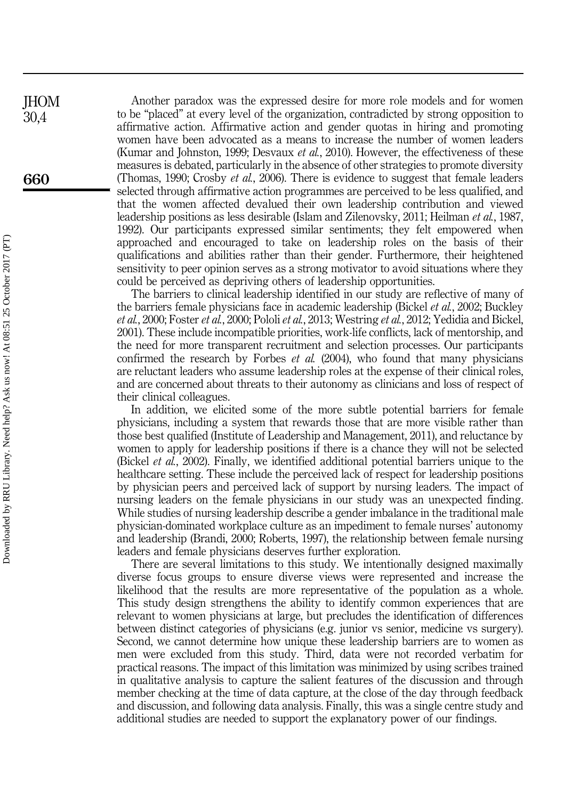Another paradox was the expressed desire for more role models and for women to be "placed" at every level of the organization, contradicted by strong opposition to affirmative action. Affirmative action and gender quotas in hiring and promoting women have been advocated as a means to increase the number of women leaders (Kumar and Johnston, 1999; Desvaux et al., 2010). However, the effectiveness of these measures is debated, particularly in the absence of other strategies to promote diversity (Thomas, 1990; Crosby et al., 2006). There is evidence to suggest that female leaders selected through affirmative action programmes are perceived to be less qualified, and that the women affected devalued their own leadership contribution and viewed leadership positions as less desirable (Islam and Zilenovsky, 2011; Heilman et al., 1987, 1992). Our participants expressed similar sentiments; they felt empowered when approached and encouraged to take on leadership roles on the basis of their qualifications and abilities rather than their gender. Furthermore, their heightened sensitivity to peer opinion serves as a strong motivator to avoid situations where they could be perceived as depriving others of leadership opportunities.

The barriers to clinical leadership identified in our study are reflective of many of the barriers female physicians face in academic leadership (Bickel et al., 2002; Buckley et al., 2000; Foster et al., 2000; Pololi et al., 2013; Westring et al., 2012; Yedidia and Bickel, 2001). These include incompatible priorities, work-life conflicts, lack of mentorship, and the need for more transparent recruitment and selection processes. Our participants confirmed the research by Forbes *et al.*  $(2004)$ , who found that many physicians are reluctant leaders who assume leadership roles at the expense of their clinical roles, and are concerned about threats to their autonomy as clinicians and loss of respect of their clinical colleagues.

In addition, we elicited some of the more subtle potential barriers for female physicians, including a system that rewards those that are more visible rather than those best qualified (Institute of Leadership and Management, 2011), and reluctance by women to apply for leadership positions if there is a chance they will not be selected (Bickel *et al.*, 2002). Finally, we identified additional potential barriers unique to the healthcare setting. These include the perceived lack of respect for leadership positions by physician peers and perceived lack of support by nursing leaders. The impact of nursing leaders on the female physicians in our study was an unexpected finding. While studies of nursing leadership describe a gender imbalance in the traditional male physician-dominated workplace culture as an impediment to female nurses' autonomy and leadership (Brandi, 2000; Roberts, 1997), the relationship between female nursing leaders and female physicians deserves further exploration.

There are several limitations to this study. We intentionally designed maximally diverse focus groups to ensure diverse views were represented and increase the likelihood that the results are more representative of the population as a whole. This study design strengthens the ability to identify common experiences that are relevant to women physicians at large, but precludes the identification of differences between distinct categories of physicians (e.g. junior vs senior, medicine vs surgery). Second, we cannot determine how unique these leadership barriers are to women as men were excluded from this study. Third, data were not recorded verbatim for practical reasons. The impact of this limitation was minimized by using scribes trained in qualitative analysis to capture the salient features of the discussion and through member checking at the time of data capture, at the close of the day through feedback and discussion, and following data analysis. Finally, this was a single centre study and additional studies are needed to support the explanatory power of our findings.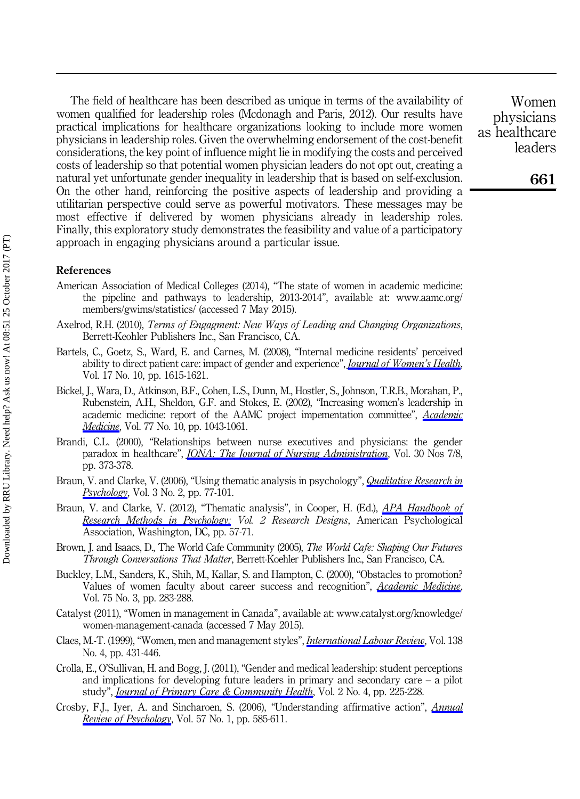The field of healthcare has been described as unique in terms of the availability of women qualified for leadership roles (Mcdonagh and Paris, 2012). Our results have practical implications for healthcare organizations looking to include more women physicians in leadership roles. Given the overwhelming endorsement of the cost-benefit considerations, the key point of influence might lie in modifying the costs and perceived costs of leadership so that potential women physician leaders do not opt out, creating a natural yet unfortunate gender inequality in leadership that is based on self-exclusion. On the other hand, reinforcing the positive aspects of leadership and providing a utilitarian perspective could serve as powerful motivators. These messages may be most effective if delivered by women physicians already in leadership roles. Finally, this exploratory study demonstrates the feasibility and value of a participatory approach in engaging physicians around a particular issue.

#### References

- American Association of Medical Colleges (2014), "The state of women in academic medicine: the pipeline and pathways to leadership, 2013-2014", available at: [www.aamc.org/](www.aamc.org/members/gwims/statistics/) [members/gwims/statistics/](www.aamc.org/members/gwims/statistics/) (accessed 7 May 2015).
- Axelrod, R.H. (2010), Terms of Engagment: New Ways of Leading and Changing Organizations, Berrett-Keohler Publishers Inc., San Francisco, CA.
- Bartels, C., Goetz, S., Ward, E. and Carnes, M. (2008), "Internal medicine residents' perceived ability to direct patient care: impact of gender and experience", *[Journal of Women](http://www.emeraldinsight.com/action/showLinks?doi=10.1108%2FJHOM-09-2014-0164&pmid=19049356&crossref=10.1089%2Fjwh.2008.0798&isi=000261331500012&citationId=p_3)'s Health*, Vol. 17 No. 10, pp. 1615-1621.
- Bickel, J., Wara, D., Atkinson, B.F., Cohen, L.S., Dunn, M., Hostler, S., Johnson, T.R.B., Morahan, P., Rubenstein, A.H., Sheldon, G.F. and Stokes, E. (2002), "Increasing women's leadership in academic medicine: report of the AAMC project impementation committee", [Academic](http://www.emeraldinsight.com/action/showLinks?doi=10.1108%2FJHOM-09-2014-0164&pmid=12377686&crossref=10.1097%2F00001888-200210000-00023&citationId=p_4) [Medicine](http://www.emeraldinsight.com/action/showLinks?doi=10.1108%2FJHOM-09-2014-0164&pmid=12377686&crossref=10.1097%2F00001888-200210000-00023&citationId=p_4), Vol. 77 No. 10, pp. 1043-1061.
- Brandi, C.L. (2000), "Relationships between nurse executives and physicians: the gender paradox in healthcare", *[JONA: The Journal of Nursing Administration](http://www.emeraldinsight.com/action/showLinks?doi=10.1108%2FJHOM-09-2014-0164&crossref=10.1097%2F00005110-200007000-00012&citationId=p_5)*, Vol. 30 Nos 7/8, pp. 373-378.
- Braun, V. and Clarke, V. (2006), "Using thematic analysis in psychology", *[Qualitative Research in](http://www.emeraldinsight.com/action/showLinks?doi=10.1108%2FJHOM-09-2014-0164&crossref=10.1191%2F1478088706qp063oa&citationId=p_6)* [Psychology](http://www.emeraldinsight.com/action/showLinks?doi=10.1108%2FJHOM-09-2014-0164&crossref=10.1191%2F1478088706qp063oa&citationId=p_6), Vol. 3 No. 2, pp. 77-101.
- Braun, V. and Clarke, V. (2012), "Thematic analysis", in Cooper, H. (Ed.), *[APA Handbook of](http://www.emeraldinsight.com/action/showLinks?doi=10.1108%2FJHOM-09-2014-0164&crossref=10.1037%2F13620-004&citationId=p_7)* [Research Methods in Psychology:](http://www.emeraldinsight.com/action/showLinks?doi=10.1108%2FJHOM-09-2014-0164&crossref=10.1037%2F13620-004&citationId=p_7) Vol. 2 Research Designs, American Psychological Association, Washington, DC, pp. 57-71.
- Brown, J. and Isaacs, D., The World Cafe Community (2005), The World Cafe: Shaping Our Futures Through Conversations That Matter, Berrett-Koehler Publishers Inc., San Francisco, CA.
- Buckley, L.M., Sanders, K., Shih, M., Kallar, S. and Hampton, C. (2000), "Obstacles to promotion? Values of women faculty about career success and recognition", *[Academic Medicine](http://www.emeraldinsight.com/action/showLinks?doi=10.1108%2FJHOM-09-2014-0164&pmid=10724319&crossref=10.1097%2F00001888-200003000-00021&isi=000085834400020&citationId=p_9)*, Vol. 75 No. 3, pp. 283-288.
- Catalyst (2011), "Women in management in Canada", available at: [www.catalyst.org/knowledge/](www.catalyst.org/knowledge/women-management-canada) [women-management-canada](www.catalyst.org/knowledge/women-management-canada) (accessed 7 May 2015).
- Claes, M.-T. (1999), "Women, men and management styles", [International Labour Review](http://www.emeraldinsight.com/action/showLinks?doi=10.1108%2FJHOM-09-2014-0164&crossref=10.1111%2Fj.1564-913X.1999.tb00396.x&isi=000085370200005&citationId=p_11), Vol. 138 No. 4, pp. 431-446.
- Crolla, E., O'Sullivan, H. and Bogg, J. (2011), "Gender and medical leadership: student perceptions and implications for developing future leaders in primary and secondary care  $-$  a pilot study", *[Journal of Primary Care & Community Health](http://www.emeraldinsight.com/action/showLinks?doi=10.1108%2FJHOM-09-2014-0164&pmid=23804838&crossref=10.1177%2F2150131911409413&citationId=p_12)*, Vol. 2 No. 4, pp. 225-228.
- Crosby, F.J., Iyer, A. and Sincharoen, S. (2006), "Understanding affirmative action", [Annual](http://www.emeraldinsight.com/action/showLinks?doi=10.1108%2FJHOM-09-2014-0164&pmid=16318608&crossref=10.1146%2Fannurev.psych.57.102904.190029&isi=000235053700023&citationId=p_13) [Review of Psychology](http://www.emeraldinsight.com/action/showLinks?doi=10.1108%2FJHOM-09-2014-0164&pmid=16318608&crossref=10.1146%2Fannurev.psych.57.102904.190029&isi=000235053700023&citationId=p_13), Vol. 57 No. 1, pp. 585-611.

Women physicians as healthcare leaders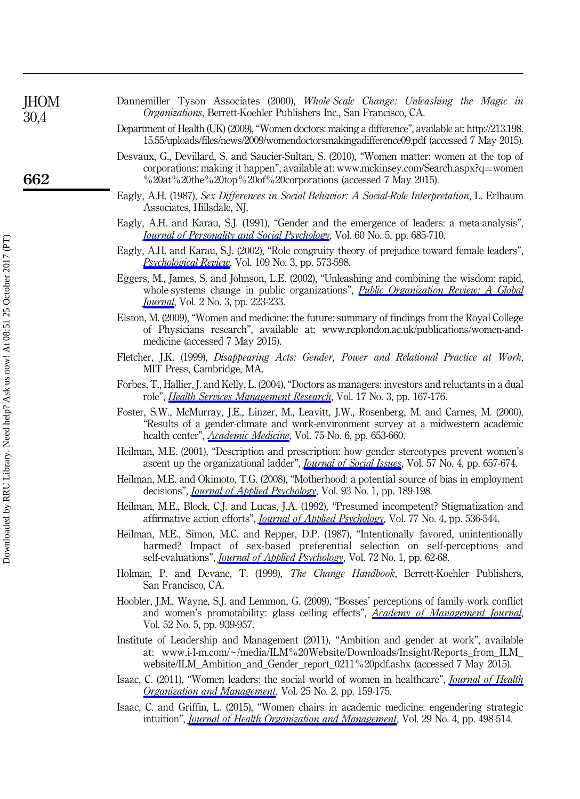| JHOM<br>30,4 | Dannemiller Tyson Associates (2000), Whole-Scale Change: Unleashing the Magic in<br>Organizations, Berrett-Koehler Publishers Inc., San Francisco, CA.                                                                                                           |
|--------------|------------------------------------------------------------------------------------------------------------------------------------------------------------------------------------------------------------------------------------------------------------------|
|              | Department of Health (UK) (2009), "Women doctors: making a difference", available at: http://213.198.<br>15.55/uploads/files/news/2009/womendoctorsmakingadifference09.pdf (accessed 7 May 2015).                                                                |
| 662          | Desvaux, G., Devillard, S. and Saucier-Sultan, S. (2010), "Women matter: women at the top of<br>corporations: making it happen", available at: www.mckinsey.com/Search.aspx?q=women<br>%20at%20the%20top%20of%20corporations (accessed 7 May 2015).              |
|              | Eagly, A.H. (1987), Sex Differences in Social Behavior: A Social-Role Interpretation, L. Erlbaum<br>Associates, Hillsdale, NJ.                                                                                                                                   |
|              | Eagly, A.H. and Karau, S.J. (1991), "Gender and the emergence of leaders: a meta-analysis",<br>Journal of Personality and Social Psychology, Vol. 60 No. 5, pp. 685-710.                                                                                         |
|              | Eagly, A.H. and Karau, S.J. (2002), "Role congruity theory of prejudice toward female leaders",<br>Psychological Review, Vol. 109 No. 3, pp. 573-598.                                                                                                            |
|              | Eggers, M., James, S. and Johnson, L.E. (2002), "Unleashing and combining the wisdom: rapid,<br>whole-systems change in public organizations", <i>Public Organization Review: A Global</i><br><i>Journal</i> , Vol. 2 No. 3, pp. 223-233.                        |
|              | Elston, M. (2009), "Women and medicine: the future: summary of findings from the Royal College<br>of Physicians research", available at: www.rcplondon.ac.uk/publications/women-and-<br>medicine (accessed 7 May 2015).                                          |
|              | Fletcher, J.K. (1999), Disappearing Acts: Gender, Power and Relational Practice at Work,<br>MIT Press, Cambridge, MA.                                                                                                                                            |
|              | Forbes, T., Hallier, J. and Kelly, L. (2004), "Doctors as managers: investors and reluctants in a dual<br>role", <i>Health Services Management Research</i> , Vol. 17 No. 3, pp. 167-176.                                                                        |
|              | Foster, S.W., McMurray, J.E., Linzer, M., Leavitt, J.W., Rosenberg, M. and Carnes, M. (2000),<br>"Results of a gender-climate and work-environment survey at a midwestern academic<br>health center", <i>Academic Medicine</i> , Vol. 75 No. 6, pp. 653-660.     |
|              | Heilman, M.E. (2001), "Description and prescription: how gender stereotypes prevent women's<br>ascent up the organizational ladder", <i>Journal of Social Issues</i> , Vol. 57 No. 4, pp. 657-674.                                                               |
|              | Heilman, M.E. and Okimoto, T.G. (2008), "Motherhood: a potential source of bias in employment<br>decisions", <i>Journal of Applied Psychology</i> , Vol. 93 No. 1, pp. 189-198.                                                                                  |
|              | Heilman, M.E., Block, C.J. and Lucas, J.A. (1992), "Presumed incompetent? Stigmatization and<br>affirmative action efforts", <i>Journal of Applied Psychology</i> , Vol. 77 No. 4, pp. 536-544.                                                                  |
|              | Heilman, M.E., Simon, M.C. and Repper, D.P. (1987), "Intentionally favored, unintentionally<br>harmed? Impact of sex-based preferential selection on self-perceptions and<br>self-evaluations", <i>Journal of Applied Psychology</i> , Vol. 72 No. 1, pp. 62-68. |
|              | Holman, P. and Devane, T. (1999), The Change Handbook, Berrett-Koehler Publishers,<br>San Francisco, CA.                                                                                                                                                         |
|              | Hoobler, J.M., Wayne, S.J. and Lemmon, G. (2009), "Bosses' perceptions of family-work conflict<br>and women's promotability: glass ceiling effects", Academy of Management Journal,<br>Vol. 52 No. 5, pp. 939-957.                                               |
|              | Institute of Leadership and Management (2011), "Ambition and gender at work", available<br>at: www.i-l-m.com/~/media/ILM%20Website/Downloads/Insight/Reports from ILM<br>website/ILM_Ambition_and_Gender_report_0211%20pdf.ashx (accessed 7 May 2015).           |
|              | Isaac, C. (2011), "Women leaders: the social world of women in healthcare", <i>Journal of Health</i><br>Organization and Management, Vol. 25 No. 2, pp. 159-175.                                                                                                 |
|              | Isaac, C. and Griffin, L. (2015), "Women chairs in academic medicine: engendering strategic                                                                                                                                                                      |

intuition", *[Journal of Health Organization and Management](http://www.emeraldinsight.com/action/showLinks?doi=10.1108%2FJHOM-09-2014-0164&system=10.1108%2FJHOM-08-2013-0174&isi=000357394100005&citationId=p_33)*, Vol. 29 No. 4, pp. 498-514.

 $\frac{6}{1}$ 

Downloaded by RRU Library. Need help? Ask us now! At 08:51 25 October 2017 (PT) Downloaded by RRU Library. Need help? Ask us now! At 08:51 25 October 2017 (PT)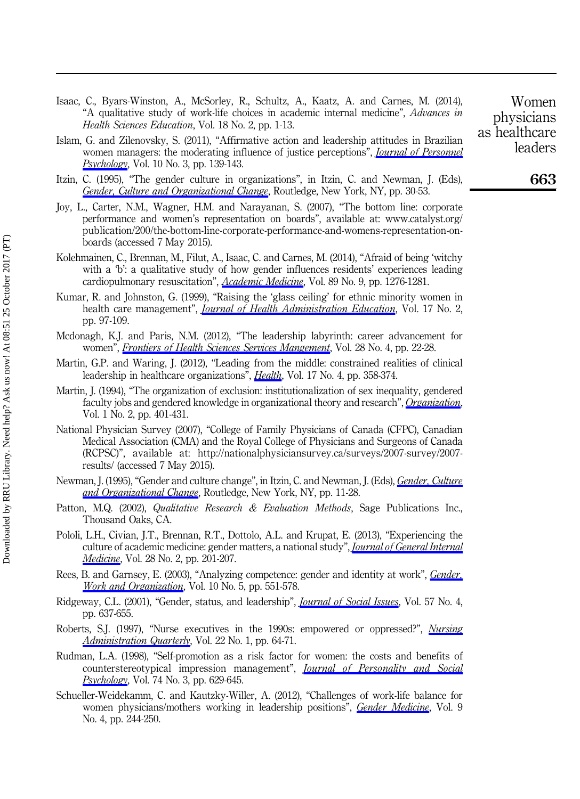- Isaac, C., Byars-Winston, A., McSorley, R., Schultz, A., Kaatz, A. and Carnes, M. (2014), "A qualitative study of work-life choices in academic internal medicine", Advances in Health Sciences Education, Vol. 18 No. 2, pp. 1-13.
- Islam, G. and Zilenovsky, S. (2011), "Affirmative action and leadership attitudes in Brazilian women managers: the moderating influence of justice perceptions", *[Journal of Personnel](http://www.emeraldinsight.com/action/showLinks?doi=10.1108%2FJHOM-09-2014-0164&crossref=10.1027%2F1866-5888%2Fa000039&isi=000293699300005&citationId=p_35)* [Psychology](http://www.emeraldinsight.com/action/showLinks?doi=10.1108%2FJHOM-09-2014-0164&crossref=10.1027%2F1866-5888%2Fa000039&isi=000293699300005&citationId=p_35), Vol. 10 No. 3, pp. 139-143.
- Itzin, C. (1995), "The gender culture in organizations", in Itzin, C. and Newman, J. (Eds), [Gender, Culture and Organizational Change](http://www.emeraldinsight.com/action/showLinks?doi=10.1108%2FJHOM-09-2014-0164&crossref=10.4324%2F9780203427965_chapter_2&citationId=p_36), Routledge, New York, NY, pp. 30-53.
- Joy, L., Carter, N.M., Wagner, H.M. and Narayanan, S. (2007), "The bottom line: corporate performance and women's representation on boards", available at: [www.catalyst.org/](www.catalyst.org/publication/200/the-bottom-line-corporate-performance-and-womens-representation-on-boards) [publication/200/the-bottom-line-corporate-performance-and-womens-representation-on](www.catalyst.org/publication/200/the-bottom-line-corporate-performance-and-womens-representation-on-boards)[boards](www.catalyst.org/publication/200/the-bottom-line-corporate-performance-and-womens-representation-on-boards) (accessed 7 May 2015).
- Kolehmainen, C., Brennan, M., Filut, A., Isaac, C. and Carnes, M. (2014), "Afraid of being 'witchy with a 'b': a qualitative study of how gender influences residents' experiences leading cardiopulmonary resuscitation", [Academic Medicine](http://www.emeraldinsight.com/action/showLinks?doi=10.1108%2FJHOM-09-2014-0164&pmid=24979289&crossref=10.1097%2FACM.0000000000000372&isi=000341524400025&citationId=p_38), Vol. 89 No. 9, pp. 1276-1281.
- Kumar, R. and Johnston, G. (1999), "Raising the 'glass ceiling' for ethnic minority women in health care management", *[Journal of Health Administration Education](http://www.emeraldinsight.com/action/showLinks?doi=10.1108%2FJHOM-09-2014-0164&pmid=10539612&citationId=p_39)*, Vol. 17 No. 2, pp. 97-109.
- Mcdonagh, K.J. and Paris, N.M. (2012), "The leadership labyrinth: career advancement for women", *[Frontiers of Health Sciences Services Mangement](http://www.emeraldinsight.com/action/showLinks?doi=10.1108%2FJHOM-09-2014-0164&pmid=22787908&citationId=p_40)*, Vol. 28 No. 4, pp. 22-28.
- Martin, G.P. and Waring, J. (2012), "Leading from the middle: constrained realities of clinical leadership in healthcare organizations", *[Health](http://www.emeraldinsight.com/action/showLinks?doi=10.1108%2FJHOM-09-2014-0164&pmid=23060359&crossref=10.1177%2F1363459312460704&isi=000320433200003&citationId=p_41)*, Vol. 17 No. 4, pp. 358-374.
- Martin, J. (1994), "The organization of exclusion: institutionalization of sex inequality, gendered faculty jobs and gendered knowledge in organizational theory and research", [Organization](http://www.emeraldinsight.com/action/showLinks?doi=10.1108%2FJHOM-09-2014-0164&crossref=10.1177%2F135050849412011&citationId=p_42), Vol. 1 No. 2, pp. 401-431.
- National Physician Survey (2007), "College of Family Physicians of Canada (CFPC), Canadian Medical Association (CMA) and the Royal College of Physicians and Surgeons of Canada (RCPSC)", available at: [http://nationalphysiciansurvey.ca/surveys/2007-survey/2007](http://nationalphysiciansurvey.ca/surveys/2007-survey/2007-results/) [results/](http://nationalphysiciansurvey.ca/surveys/2007-survey/2007-results/) (accessed 7 May 2015).
- Newman, J. (1995), "Gender and culture change", in Itzin, C. and Newman, J. (Eds), [Gender, Culture](http://www.emeraldinsight.com/action/showLinks?doi=10.1108%2FJHOM-09-2014-0164&crossref=10.4324%2F9780203427965_chapter_1&citationId=p_44) [and Organizational Change](http://www.emeraldinsight.com/action/showLinks?doi=10.1108%2FJHOM-09-2014-0164&crossref=10.4324%2F9780203427965_chapter_1&citationId=p_44), Routledge, New York, NY, pp. 11-28.
- Patton, M.Q. (2002), *Qualitative Research & Evaluation Methods*, Sage Publications Inc., Thousand Oaks, CA.
- Pololi, L.H., Civian, J.T., Brennan, R.T., Dottolo, A.L. and Krupat, E. (2013), "Experiencing the culture of academic medicine: gender matters, a national study", *[Journal of General Internal](http://www.emeraldinsight.com/action/showLinks?doi=10.1108%2FJHOM-09-2014-0164&pmid=22936291&crossref=10.1007%2Fs11606-012-2207-1&isi=000314067900010&citationId=p_46) [Medicine](http://www.emeraldinsight.com/action/showLinks?doi=10.1108%2FJHOM-09-2014-0164&pmid=22936291&crossref=10.1007%2Fs11606-012-2207-1&isi=000314067900010&citationId=p_46)*, Vol. 28 No. 2, pp. 201-207.
- Rees, B. and Garnsey, E. (2003), "Analyzing competence: gender and identity at work", [Gender,](http://www.emeraldinsight.com/action/showLinks?doi=10.1108%2FJHOM-09-2014-0164&crossref=10.1111%2F1468-0432.00211&isi=000186270700002&citationId=p_47) [Work and Organization](http://www.emeraldinsight.com/action/showLinks?doi=10.1108%2FJHOM-09-2014-0164&crossref=10.1111%2F1468-0432.00211&isi=000186270700002&citationId=p_47), Vol. 10 No. 5, pp. 551-578.
- Ridgeway, C.L. (2001), "Gender, status, and leadership", *[Journal of Social Issues](http://www.emeraldinsight.com/action/showLinks?doi=10.1108%2FJHOM-09-2014-0164&crossref=10.1111%2F0022-4537.00233&isi=000172309100002&citationId=p_48)*, Vol. 57 No. 4, pp. 637-655.
- Roberts, S.J. (1997), "Nurse executives in the 1990s: empowered or oppressed?", *[Nursing](http://www.emeraldinsight.com/action/showLinks?doi=10.1108%2FJHOM-09-2014-0164&pmid=9397846&crossref=10.1097%2F00006216-199702210-00011&citationId=p_49)* [Administration Quarterly](http://www.emeraldinsight.com/action/showLinks?doi=10.1108%2FJHOM-09-2014-0164&pmid=9397846&crossref=10.1097%2F00006216-199702210-00011&citationId=p_49), Vol. 22 No. 1, pp. 64-71.
- Rudman, L.A. (1998), "Self-promotion as a risk factor for women: the costs and benefits of counterstereotypical impression management", *[Journal of Personality and Social](http://www.emeraldinsight.com/action/showLinks?doi=10.1108%2FJHOM-09-2014-0164&pmid=9523410&crossref=10.1037%2F0022-3514.74.3.629&isi=000072529100006&citationId=p_50)* [Psychology](http://www.emeraldinsight.com/action/showLinks?doi=10.1108%2FJHOM-09-2014-0164&pmid=9523410&crossref=10.1037%2F0022-3514.74.3.629&isi=000072529100006&citationId=p_50), Vol. 74 No. 3, pp. 629-645.
- Schueller-Weidekamm, C. and Kautzky-Willer, A. (2012), "Challenges of work-life balance for women physicians/mothers working in leadership positions", *[Gender Medicine](http://www.emeraldinsight.com/action/showLinks?doi=10.1108%2FJHOM-09-2014-0164&pmid=22626768&crossref=10.1016%2Fj.genm.2012.04.002&citationId=p_51)*, Vol. 9 No. 4, pp. 244-250.

Women physicians as healthcare leaders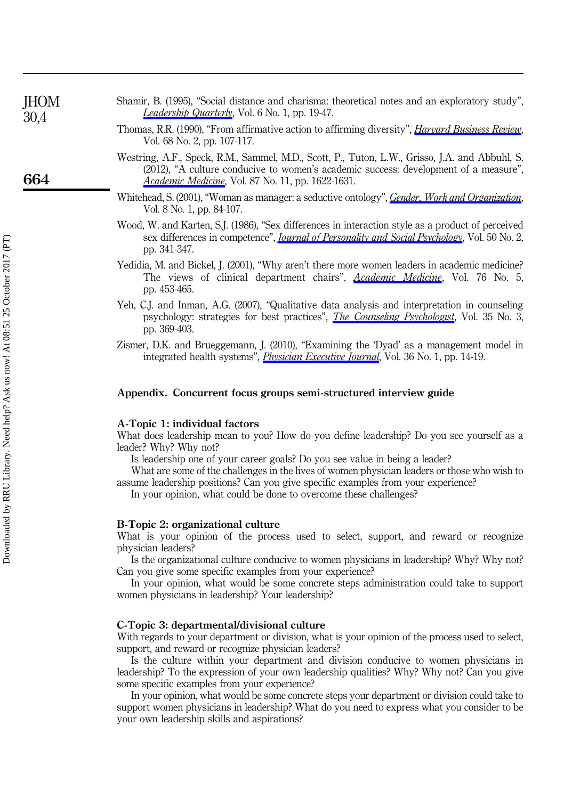| <b>JHOM</b><br>30,4 | Shamir, B. (1995), "Social distance and charisma: theoretical notes and an exploratory study",<br><i>Leadership Quarterly</i> , Vol. 6 No. 1, pp. 19-47.                                                                                            |
|---------------------|-----------------------------------------------------------------------------------------------------------------------------------------------------------------------------------------------------------------------------------------------------|
|                     | Thomas, R.R. (1990), "From affirmative action to affirming diversity", <i>Harvard Business Review</i> ,<br>Vol. 68 No. 2, pp. 107-117.                                                                                                              |
| 664                 | Westring, A.F., Speck, R.M., Sammel, M.D., Scott, P., Tuton, L.W., Grisso, J.A. and Abbuhl, S.<br>(2012), "A culture conducive to women's academic success: development of a measure",<br><i>Academic Medicine</i> , Vol. 87 No. 11, pp. 1622-1631. |
|                     | Whitehead, S. (2001), "Woman as manager: a seductive ontology", <i>Gender, Work and Organization</i> ,<br>Vol. 8 No. 1, pp. 84-107.                                                                                                                 |
|                     | Wood, W. and Karten, S.J. (1986), "Sex differences in interaction style as a product of perceived<br>sex differences in competence", <i>Journal of Personality and Social Psychology</i> , Vol. 50 No. 2,<br>pp. 341-347.                           |
|                     | Yedidia, M. and Bickel, J. (2001), "Why aren't there more women leaders in academic medicine?<br>The views of clinical department chairs", <i>Academic Medicine</i> , Vol. 76 No. 5,<br>pp. 453-465.                                                |

- Yeh, C.J. and Inman, A.G. (2007), "Qualitative data analysis and interpretation in counseling psychology: strategies for best practices", [The Counseling Psychologist](http://www.emeraldinsight.com/action/showLinks?doi=10.1108%2FJHOM-09-2014-0164&crossref=10.1177%2F0011000006292596&isi=000246110000001&citationId=p_58), Vol. 35 No. 3, pp. 369-403.
- Zismer, D.K. and Brueggemann, J. (2010), "Examining the 'Dyad' as a management model in integrated health systems", *[Physician Executive Journal](http://www.emeraldinsight.com/action/showLinks?doi=10.1108%2FJHOM-09-2014-0164&pmid=20175382&citationId=p_59)*, Vol. 36 No. 1, pp. 14-19.

#### Appendix. Concurrent focus groups semi-structured interview guide

#### A-Topic 1: individual factors

What does leadership mean to you? How do you define leadership? Do you see yourself as a leader? Why? Why not?

Is leadership one of your career goals? Do you see value in being a leader?

What are some of the challenges in the lives of women physician leaders or those who wish to assume leadership positions? Can you give specific examples from your experience?

In your opinion, what could be done to overcome these challenges?

#### B-Topic 2: organizational culture

What is your opinion of the process used to select, support, and reward or recognize physician leaders?

Is the organizational culture conducive to women physicians in leadership? Why? Why not? Can you give some specific examples from your experience?

In your opinion, what would be some concrete steps administration could take to support women physicians in leadership? Your leadership?

#### C-Topic 3: departmental/divisional culture

With regards to your department or division, what is your opinion of the process used to select, support, and reward or recognize physician leaders?

Is the culture within your department and division conducive to women physicians in leadership? To the expression of your own leadership qualities? Why? Why not? Can you give some specific examples from your experience?

In your opinion, what would be some concrete steps your department or division could take to support women physicians in leadership? What do you need to express what you consider to be your own leadership skills and aspirations?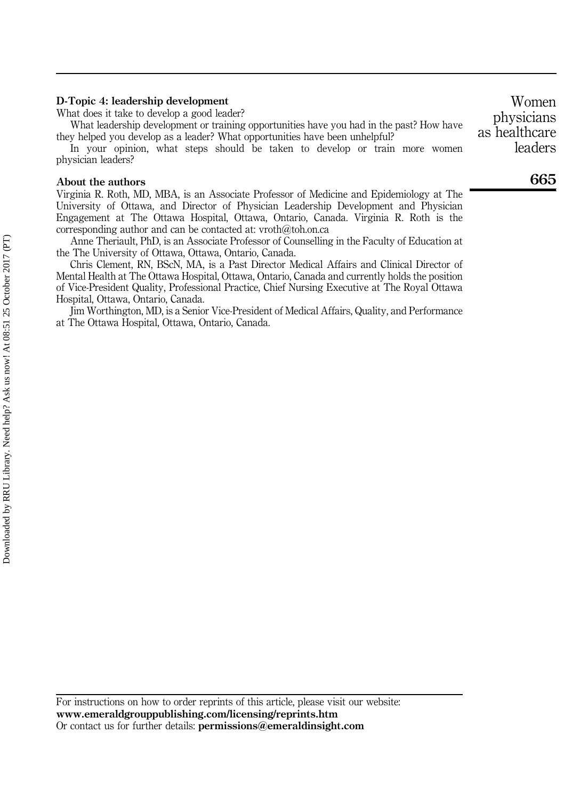#### D-Topic 4: leadership development

What does it take to develop a good leader?

What leadership development or training opportunities have you had in the past? How have they helped you develop as a leader? What opportunities have been unhelpful?

In your opinion, what steps should be taken to develop or train more women physician leaders?

#### About the authors

Virginia R. Roth, MD, MBA, is an Associate Professor of Medicine and Epidemiology at The University of Ottawa, and Director of Physician Leadership Development and Physician Engagement at The Ottawa Hospital, Ottawa, Ontario, Canada. Virginia R. Roth is the corresponding author and can be contacted at: [vroth@toh.on.ca](mailto:vroth@toh.on.ca)

Anne Theriault, PhD, is an Associate Professor of Counselling in the Faculty of Education at the The University of Ottawa, Ottawa, Ontario, Canada.

Chris Clement, RN, BScN, MA, is a Past Director Medical Affairs and Clinical Director of Mental Health at The Ottawa Hospital, Ottawa, Ontario, Canada and currently holds the position of Vice-President Quality, Professional Practice, Chief Nursing Executive at The Royal Ottawa Hospital, Ottawa, Ontario, Canada.

Jim Worthington, MD, is a Senior Vice-President of Medical Affairs, Quality, and Performance at The Ottawa Hospital, Ottawa, Ontario, Canada.

For instructions on how to order reprints of this article, please visit our website: www.emeraldgrouppublishing.com/licensing/reprints.htm Or contact us for further details: permissions@emeraldinsight.com

665 leaders

Women physicians as healthcare